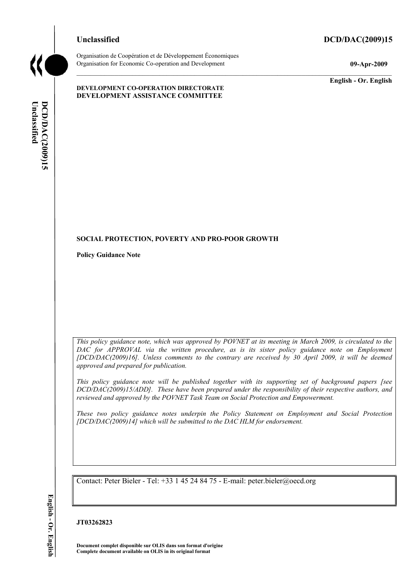### **Unclassified DCD/DAC(2009)15**



Organisation de Coopération et de Développement Économiques Organisation for Economic Co-operation and Development **09-Apr-2009** 

**DEVELOPMENT CO-OPERATION DIRECTORATE DEVELOPMENT ASSISTANCE COMMITTEE** 

**English - Or. English** 

# Unclassified **DCD/DAC(2009)15 DCD/DAC(2009)15 English - Or. EnglishUnclassified**

# **SOCIAL PROTECTION, POVERTY AND PRO-POOR GROWTH**

**Policy Guidance Note** 

*This policy guidance note, which was approved by POVNET at its meeting in March 2009, is circulated to the*  DAC for APPROVAL via the written procedure, as is its sister policy guidance note on Employment *[DCD/DAC(2009)16]. Unless comments to the contrary are received by 30 April 2009, it will be deemed approved and prepared for publication.* 

*This policy guidance note will be published together with its supporting set of background papers [see DCD/DAC(2009)15/ADD]. These have been prepared under the responsibility of their respective authors, and reviewed and approved by the POVNET Task Team on Social Protection and Empowerment.* 

*These two policy guidance notes underpin the Policy Statement on Employment and Social Protection [DCD/DAC(2009)14] which will be submitted to the DAC HLM for endorsement.* 

Contact: Peter Bieler - Tel: +33 1 45 24 84 75 - E-mail: peter.bieler@oecd.org

**JT03262823** 

**Document complet disponible sur OLIS dans son format d'origine Complete document available on OLIS in its original format**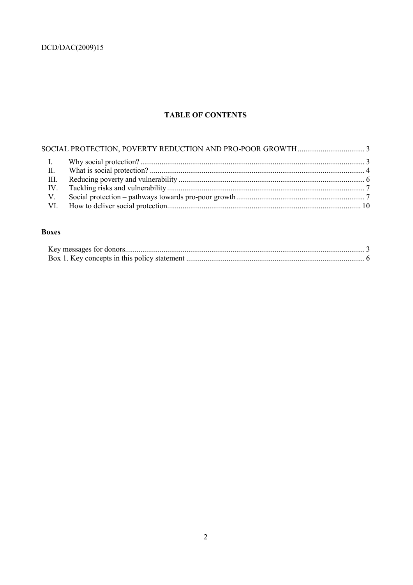## **TABLE OF CONTENTS**

| $\mathbf{I}$ . |  |
|----------------|--|
| II.            |  |
|                |  |
|                |  |
| $V_{\perp}$    |  |
|                |  |
|                |  |

### **Boxes**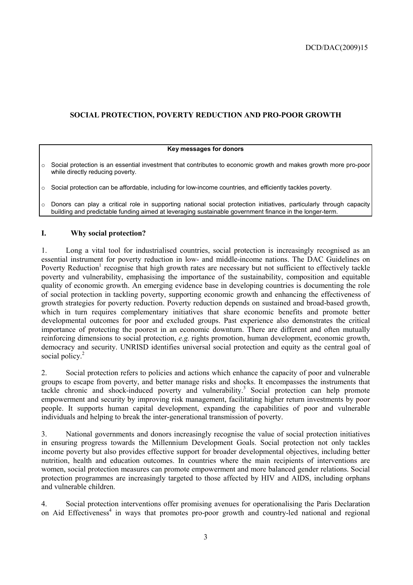### **SOCIAL PROTECTION, POVERTY REDUCTION AND PRO-POOR GROWTH**

### **Key messages for donors**

 $\circ$  Social protection is an essential investment that contributes to economic growth and makes growth more pro-poor while directly reducing poverty.

 $\circ$  Social protection can be affordable, including for low-income countries, and efficiently tackles poverty.

 $\circ$  Donors can play a critical role in supporting national social protection initiatives, particularly through capacity building and predictable funding aimed at leveraging sustainable government finance in the longer-term.

### **I. Why social protection?**

1. Long a vital tool for industrialised countries, social protection is increasingly recognised as an essential instrument for poverty reduction in low- and middle-income nations. The DAC Guidelines on Poverty Reduction<sup>1</sup> recognise that high growth rates are necessary but not sufficient to effectively tackle poverty and vulnerability, emphasising the importance of the sustainability, composition and equitable quality of economic growth. An emerging evidence base in developing countries is documenting the role of social protection in tackling poverty, supporting economic growth and enhancing the effectiveness of growth strategies for poverty reduction. Poverty reduction depends on sustained and broad-based growth, which in turn requires complementary initiatives that share economic benefits and promote better developmental outcomes for poor and excluded groups. Past experience also demonstrates the critical importance of protecting the poorest in an economic downturn. There are different and often mutually reinforcing dimensions to social protection, *e.g.* rights promotion, human development, economic growth, democracy and security. UNRISD identifies universal social protection and equity as the central goal of social policy.<sup>2</sup>

2. Social protection refers to policies and actions which enhance the capacity of poor and vulnerable groups to escape from poverty, and better manage risks and shocks. It encompasses the instruments that tackle chronic and shock-induced poverty and vulnerability.<sup>3</sup> Social protection can help promote empowerment and security by improving risk management, facilitating higher return investments by poor people. It supports human capital development, expanding the capabilities of poor and vulnerable individuals and helping to break the inter-generational transmission of poverty.

3. National governments and donors increasingly recognise the value of social protection initiatives in ensuring progress towards the Millennium Development Goals. Social protection not only tackles income poverty but also provides effective support for broader developmental objectives, including better nutrition, health and education outcomes. In countries where the main recipients of interventions are women, social protection measures can promote empowerment and more balanced gender relations. Social protection programmes are increasingly targeted to those affected by HIV and AIDS, including orphans and vulnerable children.

4. Social protection interventions offer promising avenues for operationalising the Paris Declaration on Aid Effectiveness<sup>4</sup> in ways that promotes pro-poor growth and country-led national and regional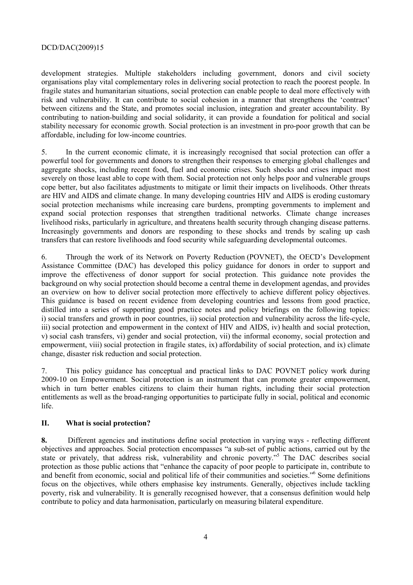development strategies. Multiple stakeholders including government, donors and civil society organisations play vital complementary roles in delivering social protection to reach the poorest people. In fragile states and humanitarian situations, social protection can enable people to deal more effectively with risk and vulnerability. It can contribute to social cohesion in a manner that strengthens the 'contract' between citizens and the State, and promotes social inclusion, integration and greater accountability. By contributing to nation-building and social solidarity, it can provide a foundation for political and social stability necessary for economic growth. Social protection is an investment in pro-poor growth that can be affordable, including for low-income countries.

5. In the current economic climate, it is increasingly recognised that social protection can offer a powerful tool for governments and donors to strengthen their responses to emerging global challenges and aggregate shocks, including recent food, fuel and economic crises. Such shocks and crises impact most severely on those least able to cope with them. Social protection not only helps poor and vulnerable groups cope better, but also facilitates adjustments to mitigate or limit their impacts on livelihoods. Other threats are HIV and AIDS and climate change. In many developing countries HIV and AIDS is eroding customary social protection mechanisms while increasing care burdens, prompting governments to implement and expand social protection responses that strengthen traditional networks. Climate change increases livelihood risks, particularly in agriculture, and threatens health security through changing disease patterns. Increasingly governments and donors are responding to these shocks and trends by scaling up cash transfers that can restore livelihoods and food security while safeguarding developmental outcomes.

6. Through the work of its Network on Poverty Reduction (POVNET), the OECD's Development Assistance Committee (DAC) has developed this policy guidance for donors in order to support and improve the effectiveness of donor support for social protection. This guidance note provides the background on why social protection should become a central theme in development agendas, and provides an overview on how to deliver social protection more effectively to achieve different policy objectives. This guidance is based on recent evidence from developing countries and lessons from good practice, distilled into a series of supporting good practice notes and policy briefings on the following topics: i) social transfers and growth in poor countries, ii) social protection and vulnerability across the life-cycle, iii) social protection and empowerment in the context of HIV and AIDS, iv) health and social protection, v) social cash transfers, vi) gender and social protection, vii) the informal economy, social protection and empowerment, viii) social protection in fragile states, ix) affordability of social protection, and ix) climate change, disaster risk reduction and social protection.

7. This policy guidance has conceptual and practical links to DAC POVNET policy work during 2009-10 on Empowerment. Social protection is an instrument that can promote greater empowerment, which in turn better enables citizens to claim their human rights, including their social protection entitlements as well as the broad-ranging opportunities to participate fully in social, political and economic life.

### **II. What is social protection?**

**8.** Different agencies and institutions define social protection in varying ways - reflecting different objectives and approaches. Social protection encompasses "a sub-set of public actions, carried out by the state or privately, that address risk, vulnerability and chronic poverty."<sup>5</sup> The DAC describes social protection as those public actions that "enhance the capacity of poor people to participate in, contribute to and benefit from economic, social and political life of their communities and societies."<sup>6</sup> Some definitions focus on the objectives, while others emphasise key instruments. Generally, objectives include tackling poverty, risk and vulnerability. It is generally recognised however, that a consensus definition would help contribute to policy and data harmonisation, particularly on measuring bilateral expenditure.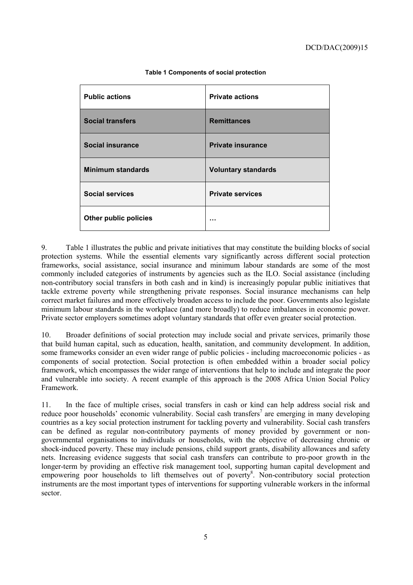| <b>Public actions</b>    | <b>Private actions</b>     |
|--------------------------|----------------------------|
| <b>Social transfers</b>  | <b>Remittances</b>         |
| Social insurance         | <b>Private insurance</b>   |
| <b>Minimum standards</b> | <b>Voluntary standards</b> |
| <b>Social services</b>   | <b>Private services</b>    |
| Other public policies    |                            |

**Table 1 Components of social protection** 

9. Table 1 illustrates the public and private initiatives that may constitute the building blocks of social protection systems. While the essential elements vary significantly across different social protection frameworks, social assistance, social insurance and minimum labour standards are some of the most commonly included categories of instruments by agencies such as the ILO. Social assistance (including non-contributory social transfers in both cash and in kind) is increasingly popular public initiatives that tackle extreme poverty while strengthening private responses. Social insurance mechanisms can help correct market failures and more effectively broaden access to include the poor. Governments also legislate minimum labour standards in the workplace (and more broadly) to reduce imbalances in economic power. Private sector employers sometimes adopt voluntary standards that offer even greater social protection.

10. Broader definitions of social protection may include social and private services, primarily those that build human capital, such as education, health, sanitation, and community development. In addition, some frameworks consider an even wider range of public policies - including macroeconomic policies - as components of social protection. Social protection is often embedded within a broader social policy framework, which encompasses the wider range of interventions that help to include and integrate the poor and vulnerable into society. A recent example of this approach is the 2008 Africa Union Social Policy Framework.

11. In the face of multiple crises, social transfers in cash or kind can help address social risk and reduce poor households' economic vulnerability. Social cash transfers<sup>7</sup> are emerging in many developing countries as a key social protection instrument for tackling poverty and vulnerability. Social cash transfers can be defined as regular non-contributory payments of money provided by government or nongovernmental organisations to individuals or households, with the objective of decreasing chronic or shock-induced poverty. These may include pensions, child support grants, disability allowances and safety nets. Increasing evidence suggests that social cash transfers can contribute to pro-poor growth in the longer-term by providing an effective risk management tool, supporting human capital development and empowering poor households to lift themselves out of poverty<sup>8</sup>. Non-contributory social protection instruments are the most important types of interventions for supporting vulnerable workers in the informal sector.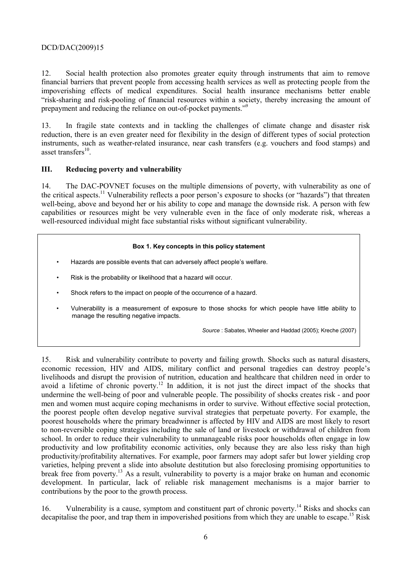12. Social health protection also promotes greater equity through instruments that aim to remove financial barriers that prevent people from accessing health services as well as protecting people from the impoverishing effects of medical expenditures. Social health insurance mechanisms better enable "risk-sharing and risk-pooling of financial resources within a society, thereby increasing the amount of prepayment and reducing the reliance on out-of-pocket payments."9

13. In fragile state contexts and in tackling the challenges of climate change and disaster risk reduction, there is an even greater need for flexibility in the design of different types of social protection instruments, such as weather-related insurance, near cash transfers (e.g. vouchers and food stamps) and asset transfers $^{10}$ .

### **III. Reducing poverty and vulnerability**

14. The DAC-POVNET focuses on the multiple dimensions of poverty, with vulnerability as one of the critical aspects.11 Vulnerability reflects a poor person's exposure to shocks (or "hazards") that threaten well-being, above and beyond her or his ability to cope and manage the downside risk. A person with few capabilities or resources might be very vulnerable even in the face of only moderate risk, whereas a well-resourced individual might face substantial risks without significant vulnerability.

### **Box 1. Key concepts in this policy statement**

- Hazards are possible events that can adversely affect people's welfare.
- Risk is the probability or likelihood that a hazard will occur.
- Shock refers to the impact on people of the occurrence of a hazard.
- Vulnerability is a measurement of exposure to those shocks for which people have little ability to manage the resulting negative impacts.

*Source* : Sabates, Wheeler and Haddad (2005); Kreche (2007)

15. Risk and vulnerability contribute to poverty and failing growth. Shocks such as natural disasters, economic recession, HIV and AIDS, military conflict and personal tragedies can destroy people's livelihoods and disrupt the provision of nutrition, education and healthcare that children need in order to avoid a lifetime of chronic poverty.<sup>12</sup> In addition, it is not just the direct impact of the shocks that undermine the well-being of poor and vulnerable people. The possibility of shocks creates risk - and poor men and women must acquire coping mechanisms in order to survive. Without effective social protection, the poorest people often develop negative survival strategies that perpetuate poverty. For example, the poorest households where the primary breadwinner is affected by HIV and AIDS are most likely to resort to non-reversible coping strategies including the sale of land or livestock or withdrawal of children from school. In order to reduce their vulnerability to unmanageable risks poor households often engage in low productivity and low profitability economic activities, only because they are also less risky than high productivity/profitability alternatives. For example, poor farmers may adopt safer but lower yielding crop varieties, helping prevent a slide into absolute destitution but also foreclosing promising opportunities to break free from poverty.13 As a result, vulnerability to poverty is a major brake on human and economic development. In particular, lack of reliable risk management mechanisms is a major barrier to contributions by the poor to the growth process.

16. Vulnerability is a cause, symptom and constituent part of chronic poverty.<sup>14</sup> Risks and shocks can decapitalise the poor, and trap them in impoverished positions from which they are unable to escape.<sup>15</sup> Risk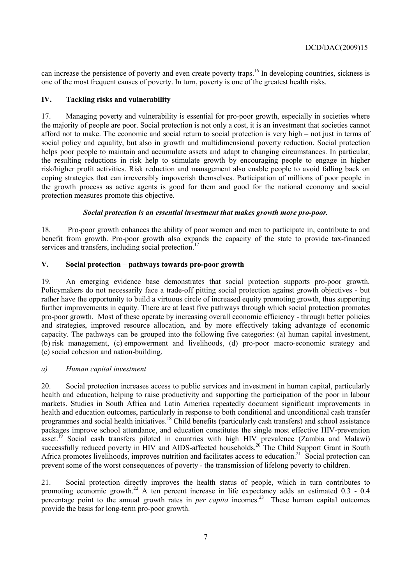can increase the persistence of poverty and even create poverty traps.16 In developing countries, sickness is one of the most frequent causes of poverty. In turn, poverty is one of the greatest health risks.

### **IV. Tackling risks and vulnerability**

17. Managing poverty and vulnerability is essential for pro-poor growth, especially in societies where the majority of people are poor. Social protection is not only a cost, it is an investment that societies cannot afford not to make. The economic and social return to social protection is very high – not just in terms of social policy and equality, but also in growth and multidimensional poverty reduction. Social protection helps poor people to maintain and accumulate assets and adapt to changing circumstances. In particular, the resulting reductions in risk help to stimulate growth by encouraging people to engage in higher risk/higher profit activities. Risk reduction and management also enable people to avoid falling back on coping strategies that can irreversibly impoverish themselves. Participation of millions of poor people in the growth process as active agents is good for them and good for the national economy and social protection measures promote this objective.

### *Social protection is an essential investment that makes growth more pro-poor.*

18. Pro-poor growth enhances the ability of poor women and men to participate in, contribute to and benefit from growth. Pro-poor growth also expands the capacity of the state to provide tax-financed services and transfers, including social protection.<sup>17</sup>

### **V. Social protection – pathways towards pro-poor growth**

19. An emerging evidence base demonstrates that social protection supports pro-poor growth. Policymakers do not necessarily face a trade-off pitting social protection against growth objectives - but rather have the opportunity to build a virtuous circle of increased equity promoting growth, thus supporting further improvements in equity. There are at least five pathways through which social protection promotes pro-poor growth. Most of these operate by increasing overall economic efficiency - through better policies and strategies, improved resource allocation, and by more effectively taking advantage of economic capacity. The pathways can be grouped into the following five categories: (a) human capital investment, (b) risk management, (c) empowerment and livelihoods, (d) pro-poor macro-economic strategy and (e) social cohesion and nation-building.

### *a) Human capital investment*

20. Social protection increases access to public services and investment in human capital, particularly health and education, helping to raise productivity and supporting the participation of the poor in labour markets. Studies in South Africa and Latin America repeatedly document significant improvements in health and education outcomes, particularly in response to both conditional and unconditional cash transfer programmes and social health initiatives.<sup>18</sup> Child benefits (particularly cash transfers) and school assistance packages improve school attendance, and education constitutes the single most effective HIV-prevention asset.<sup>19</sup> Social cash transfers piloted in countries with high HIV prevalence (Zambia and Malawi) successfully reduced poverty in HIV and AIDS-affected households.<sup>20</sup> The Child Support Grant in South Africa promotes livelihoods, improves nutrition and facilitates access to education.<sup>21</sup> Social protection can prevent some of the worst consequences of poverty - the transmission of lifelong poverty to children.

21. Social protection directly improves the health status of people, which in turn contributes to promoting economic growth.<sup>22</sup> A ten percent increase in life expectancy adds an estimated  $0.3 - 0.4$ percentage point to the annual growth rates in *per capita* incomes.<sup>23</sup> These human capital outcomes provide the basis for long-term pro-poor growth.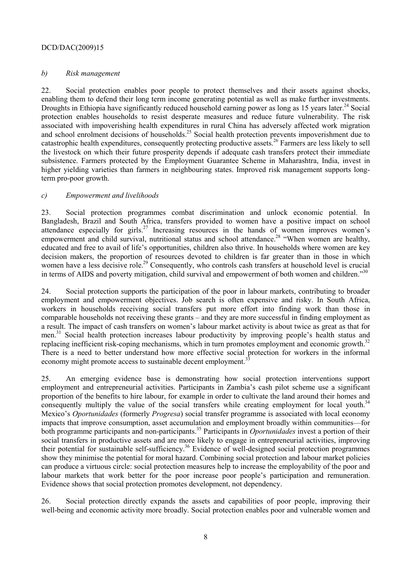### *b) Risk management*

22. Social protection enables poor people to protect themselves and their assets against shocks, enabling them to defend their long term income generating potential as well as make further investments. Droughts in Ethiopia have significantly reduced household earning power as long as 15 years later.<sup>24</sup> Social protection enables households to resist desperate measures and reduce future vulnerability. The risk associated with impoverishing health expenditures in rural China has adversely affected work migration and school enrolment decisions of households.<sup>25</sup> Social health protection prevents impoverishment due to catastrophic health expenditures, consequently protecting productive assets.<sup>26</sup> Farmers are less likely to sell the livestock on which their future prosperity depends if adequate cash transfers protect their immediate subsistence. Farmers protected by the Employment Guarantee Scheme in Maharashtra, India, invest in higher yielding varieties than farmers in neighbouring states. Improved risk management supports longterm pro-poor growth.

### *c) Empowerment and livelihoods*

23. Social protection programmes combat discrimination and unlock economic potential. In Bangladesh, Brazil and South Africa, transfers provided to women have a positive impact on school attendance especially for girls.<sup>27</sup> Increasing resources in the hands of women improves women's empowerment and child survival, nutritional status and school attendance.<sup>28</sup> "When women are healthy, educated and free to avail of life's opportunities, children also thrive. In households where women are key decision makers, the proportion of resources devoted to children is far greater than in those in which women have a less decisive role.<sup>29</sup> Consequently, who controls cash transfers at household level is crucial in terms of AIDS and poverty mitigation, child survival and empowerment of both women and children."<sup>30</sup>

24. Social protection supports the participation of the poor in labour markets, contributing to broader employment and empowerment objectives. Job search is often expensive and risky. In South Africa, workers in households receiving social transfers put more effort into finding work than those in comparable households not receiving these grants – and they are more successful in finding employment as a result. The impact of cash transfers on women's labour market activity is about twice as great as that for men.<sup>31</sup> Social health protection increases labour productivity by improving people's health status and replacing inefficient risk-coping mechanisms, which in turn promotes employment and economic growth.<sup>32</sup> There is a need to better understand how more effective social protection for workers in the informal economy might promote access to sustainable decent employment.<sup>3</sup>

25. An emerging evidence base is demonstrating how social protection interventions support employment and entrepreneurial activities. Participants in Zambia's cash pilot scheme use a significant proportion of the benefits to hire labour, for example in order to cultivate the land around their homes and consequently multiply the value of the social transfers while creating employment for local youth.<sup>34</sup> Mexico's *Oportunidades* (formerly *Progresa*) social transfer programme is associated with local economy impacts that improve consumption, asset accumulation and employment broadly within communities—for both programme participants and non-participants.<sup>35</sup> Participants in *Oportunidades* invest a portion of their social transfers in productive assets and are more likely to engage in entrepreneurial activities, improving their potential for sustainable self-sufficiency.<sup>36</sup> Evidence of well-designed social protection programmes show they minimise the potential for moral hazard. Combining social protection and labour market policies can produce a virtuous circle: social protection measures help to increase the employability of the poor and labour markets that work better for the poor increase poor people's participation and remuneration. Evidence shows that social protection promotes development, not dependency.

26. Social protection directly expands the assets and capabilities of poor people, improving their well-being and economic activity more broadly. Social protection enables poor and vulnerable women and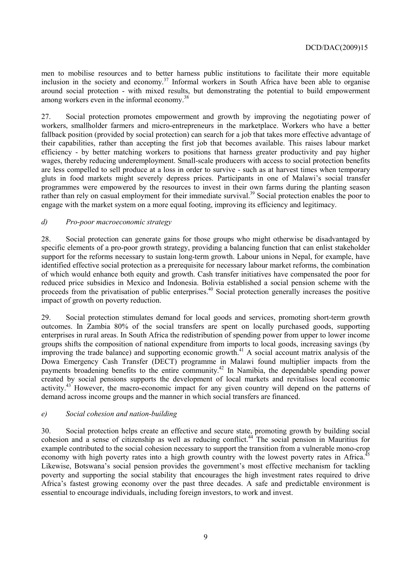men to mobilise resources and to better harness public institutions to facilitate their more equitable inclusion in the society and economy.<sup>37</sup> Informal workers in South Africa have been able to organise around social protection - with mixed results, but demonstrating the potential to build empowerment among workers even in the informal economy.<sup>38</sup>

27. Social protection promotes empowerment and growth by improving the negotiating power of workers, smallholder farmers and micro-entrepreneurs in the marketplace. Workers who have a better fallback position (provided by social protection) can search for a job that takes more effective advantage of their capabilities, rather than accepting the first job that becomes available. This raises labour market efficiency - by better matching workers to positions that harness greater productivity and pay higher wages, thereby reducing underemployment. Small-scale producers with access to social protection benefits are less compelled to sell produce at a loss in order to survive - such as at harvest times when temporary gluts in food markets might severely depress prices. Participants in one of Malawi's social transfer programmes were empowered by the resources to invest in their own farms during the planting season rather than rely on casual employment for their immediate survival.<sup>39</sup> Social protection enables the poor to engage with the market system on a more equal footing, improving its efficiency and legitimacy.

### *d) Pro-poor macroeconomic strategy*

28. Social protection can generate gains for those groups who might otherwise be disadvantaged by specific elements of a pro-poor growth strategy, providing a balancing function that can enlist stakeholder support for the reforms necessary to sustain long-term growth. Labour unions in Nepal, for example, have identified effective social protection as a prerequisite for necessary labour market reforms, the combination of which would enhance both equity and growth. Cash transfer initiatives have compensated the poor for reduced price subsidies in Mexico and Indonesia. Bolivia established a social pension scheme with the proceeds from the privatisation of public enterprises.<sup>40</sup> Social protection generally increases the positive impact of growth on poverty reduction.

29. Social protection stimulates demand for local goods and services, promoting short-term growth outcomes. In Zambia 80% of the social transfers are spent on locally purchased goods, supporting enterprises in rural areas. In South Africa the redistribution of spending power from upper to lower income groups shifts the composition of national expenditure from imports to local goods, increasing savings (by improving the trade balance) and supporting economic growth.<sup>41</sup> A social account matrix analysis of the Dowa Emergency Cash Transfer (DECT) programme in Malawi found multiplier impacts from the payments broadening benefits to the entire community.<sup>42</sup> In Namibia, the dependable spending power created by social pensions supports the development of local markets and revitalises local economic activity.43 However, the macro-economic impact for any given country will depend on the patterns of demand across income groups and the manner in which social transfers are financed.

### *e) Social cohesion and nation-building*

30. Social protection helps create an effective and secure state, promoting growth by building social cohesion and a sense of citizenship as well as reducing conflict.44 The social pension in Mauritius for conesion and a sense of chacking as well as reducing contribution from a vulnerable mono-crop example contributed to the social cohesion necessary to support the transition from a vulnerable mono-crop economy with high poverty rates into a high growth country with the lowest poverty rates in Africa.<sup>4</sup> Likewise, Botswana's social pension provides the government's most effective mechanism for tackling poverty and supporting the social stability that encourages the high investment rates required to drive Africa's fastest growing economy over the past three decades. A safe and predictable environment is essential to encourage individuals, including foreign investors, to work and invest.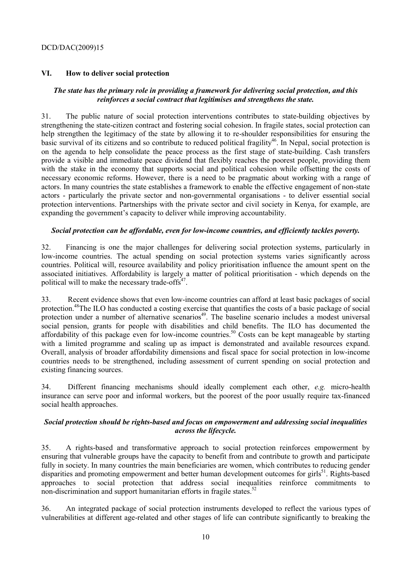### **VI. How to deliver social protection**

### *The state has the primary role in providing a framework for delivering social protection, and this reinforces a social contract that legitimises and strengthens the state.*

31. The public nature of social protection interventions contributes to state-building objectives by strengthening the state-citizen contract and fostering social cohesion. In fragile states, social protection can help strengthen the legitimacy of the state by allowing it to re-shoulder responsibilities for ensuring the basic survival of its citizens and so contribute to reduced political fragility<sup>46</sup>. In Nepal, social protection is on the agenda to help consolidate the peace process as the first stage of state-building. Cash transfers provide a visible and immediate peace dividend that flexibly reaches the poorest people, providing them with the stake in the economy that supports social and political cohesion while offsetting the costs of necessary economic reforms. However, there is a need to be pragmatic about working with a range of actors. In many countries the state establishes a framework to enable the effective engagement of non-state actors - particularly the private sector and non-governmental organisations - to deliver essential social protection interventions. Partnerships with the private sector and civil society in Kenya, for example, are expanding the government's capacity to deliver while improving accountability.

### *Social protection can be affordable, even for low-income countries, and efficiently tackles poverty.*

32. Financing is one the major challenges for delivering social protection systems, particularly in low-income countries. The actual spending on social protection systems varies significantly across countries. Political will, resource availability and policy prioritisation influence the amount spent on the associated initiatives. Affordability is largely a matter of political prioritisation - which depends on the political will to make the necessary trade-offs $47$ .

33. Recent evidence shows that even low-income countries can afford at least basic packages of social protection.48The ILO has conducted a costing exercise that quantifies the costs of a basic package of social protection under a number of alternative scenarios<sup>49</sup>. The baseline scenario includes a modest universal social pension, grants for people with disabilities and child benefits. The ILO has documented the affordability of this package even for low-income countries.<sup>50</sup> Costs can be kept manageable by starting with a limited programme and scaling up as impact is demonstrated and available resources expand. Overall, analysis of broader affordability dimensions and fiscal space for social protection in low-income countries needs to be strengthened, including assessment of current spending on social protection and existing financing sources.

34. Different financing mechanisms should ideally complement each other, *e.g.* micro-health insurance can serve poor and informal workers, but the poorest of the poor usually require tax-financed social health approaches.

### *Social protection should be rights-based and focus on empowerment and addressing social inequalities across the lifecycle.*

35. A rights-based and transformative approach to social protection reinforces empowerment by ensuring that vulnerable groups have the capacity to benefit from and contribute to growth and participate fully in society. In many countries the main beneficiaries are women, which contributes to reducing gender disparities and promoting empowerment and better human development outcomes for girls<sup>51</sup>. Rights-based approaches to social protection that address social inequalities reinforce commitments to non-discrimination and support humanitarian efforts in fragile states.<sup>52</sup>

36. An integrated package of social protection instruments developed to reflect the various types of vulnerabilities at different age-related and other stages of life can contribute significantly to breaking the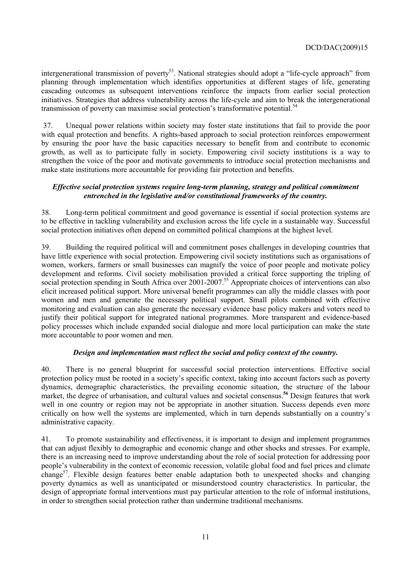intergenerational transmission of poverty<sup>53</sup>. National strategies should adopt a "life-cycle approach" from planning through implementation which identifies opportunities at different stages of life, generating cascading outcomes as subsequent interventions reinforce the impacts from earlier social protection initiatives. Strategies that address vulnerability across the life-cycle and aim to break the intergenerational transmission of poverty can maximise social protection's transformative potential.<sup>54</sup>

 37. Unequal power relations within society may foster state institutions that fail to provide the poor with equal protection and benefits. A rights-based approach to social protection reinforces empowerment by ensuring the poor have the basic capacities necessary to benefit from and contribute to economic growth, as well as to participate fully in society. Empowering civil society institutions is a way to strengthen the voice of the poor and motivate governments to introduce social protection mechanisms and make state institutions more accountable for providing fair protection and benefits.

### *Effective social protection systems require long-term planning, strategy and political commitment entrenched in the legislative and/or constitutional frameworks of the country.*

38. Long-term political commitment and good governance is essential if social protection systems are to be effective in tackling vulnerability and exclusion across the life cycle in a sustainable way. Successful social protection initiatives often depend on committed political champions at the highest level.

39. Building the required political will and commitment poses challenges in developing countries that have little experience with social protection. Empowering civil society institutions such as organisations of women, workers, farmers or small businesses can magnify the voice of poor people and motivate policy development and reforms. Civil society mobilisation provided a critical force supporting the tripling of social protection spending in South Africa over 2001-2007.<sup>55</sup> Appropriate choices of interventions can also elicit increased political support. More universal benefit programmes can ally the middle classes with poor women and men and generate the necessary political support. Small pilots combined with effective monitoring and evaluation can also generate the necessary evidence base policy makers and voters need to justify their political support for integrated national programmes. More transparent and evidence-based policy processes which include expanded social dialogue and more local participation can make the state more accountable to poor women and men.

### *Design and implementation must reflect the social and policy context of the country.*

40. There is no general blueprint for successful social protection interventions. Effective social protection policy must be rooted in a society's specific context, taking into account factors such as poverty dynamics, demographic characteristics, the prevailing economic situation, the structure of the labour market, the degree of urbanisation, and cultural values and societal consensus.**<sup>56</sup>** Design features that work well in one country or region may not be appropriate in another situation. Success depends even more critically on how well the systems are implemented, which in turn depends substantially on a country's administrative capacity.

41. To promote sustainability and effectiveness, it is important to design and implement programmes that can adjust flexibly to demographic and economic change and other shocks and stresses. For example, there is an increasing need to improve understanding about the role of social protection for addressing poor people's vulnerability in the context of economic recession, volatile global food and fuel prices and climate change<sup>57</sup>. Flexible design features better enable adaptation both to unexpected shocks and changing poverty dynamics as well as unanticipated or misunderstood country characteristics. In particular, the design of appropriate formal interventions must pay particular attention to the role of informal institutions, in order to strengthen social protection rather than undermine traditional mechanisms.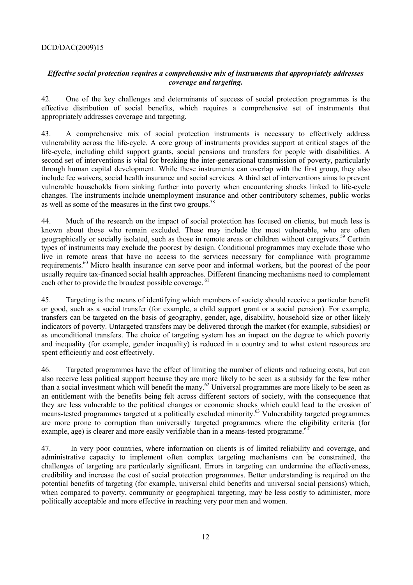### *Effective social protection requires a comprehensive mix of instruments that appropriately addresses coverage and targeting.*

42. One of the key challenges and determinants of success of social protection programmes is the effective distribution of social benefits, which requires a comprehensive set of instruments that appropriately addresses coverage and targeting.

43. A comprehensive mix of social protection instruments is necessary to effectively address vulnerability across the life-cycle. A core group of instruments provides support at critical stages of the life-cycle, including child support grants, social pensions and transfers for people with disabilities. A second set of interventions is vital for breaking the inter-generational transmission of poverty, particularly through human capital development. While these instruments can overlap with the first group, they also include fee waivers, social health insurance and social services. A third set of interventions aims to prevent vulnerable households from sinking further into poverty when encountering shocks linked to life-cycle changes. The instruments include unemployment insurance and other contributory schemes, public works as well as some of the measures in the first two groups.<sup>58</sup>

44. Much of the research on the impact of social protection has focused on clients, but much less is known about those who remain excluded. These may include the most vulnerable, who are often geographically or socially isolated, such as those in remote areas or children without caregivers.<sup>59</sup> Certain types of instruments may exclude the poorest by design. Conditional programmes may exclude those who live in remote areas that have no access to the services necessary for compliance with programme requirements.60 Micro health insurance can serve poor and informal workers, but the poorest of the poor usually require tax-financed social health approaches. Different financing mechanisms need to complement each other to provide the broadest possible coverage. <sup>61</sup>

45. Targeting is the means of identifying which members of society should receive a particular benefit or good, such as a social transfer (for example, a child support grant or a social pension). For example, transfers can be targeted on the basis of geography, gender, age, disability, household size or other likely indicators of poverty. Untargeted transfers may be delivered through the market (for example, subsidies) or as unconditional transfers. The choice of targeting system has an impact on the degree to which poverty and inequality (for example, gender inequality) is reduced in a country and to what extent resources are spent efficiently and cost effectively.

46. Targeted programmes have the effect of limiting the number of clients and reducing costs, but can also receive less political support because they are more likely to be seen as a subsidy for the few rather than a social investment which will benefit the many.<sup>62</sup> Universal programmes are more likely to be seen as an entitlement with the benefits being felt across different sectors of society, with the consequence that they are less vulnerable to the political changes or economic shocks which could lead to the erosion of means-tested programmes targeted at a politically excluded minority.<sup>63</sup> Vulnerability targeted programmes are more prone to corruption than universally targeted programmes where the eligibility criteria (for example, age) is clearer and more easily verifiable than in a means-tested programme.<sup>64</sup>

47. In very poor countries, where information on clients is of limited reliability and coverage, and administrative capacity to implement often complex targeting mechanisms can be constrained, the challenges of targeting are particularly significant. Errors in targeting can undermine the effectiveness, credibility and increase the cost of social protection programmes. Better understanding is required on the potential benefits of targeting (for example, universal child benefits and universal social pensions) which, when compared to poverty, community or geographical targeting, may be less costly to administer, more politically acceptable and more effective in reaching very poor men and women.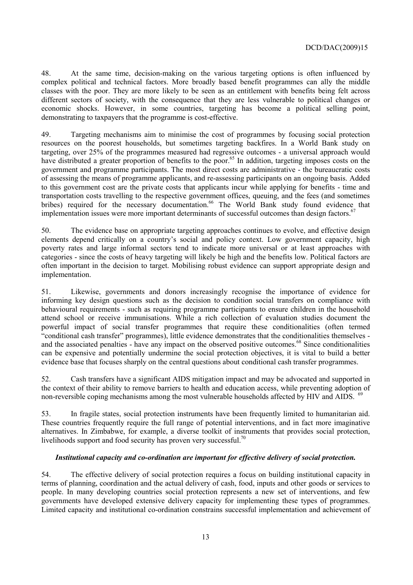48. At the same time, decision-making on the various targeting options is often influenced by complex political and technical factors. More broadly based benefit programmes can ally the middle classes with the poor. They are more likely to be seen as an entitlement with benefits being felt across different sectors of society, with the consequence that they are less vulnerable to political changes or economic shocks. However, in some countries, targeting has become a political selling point, demonstrating to taxpayers that the programme is cost-effective.

49. Targeting mechanisms aim to minimise the cost of programmes by focusing social protection resources on the poorest households, but sometimes targeting backfires. In a World Bank study on targeting, over 25% of the programmes measured had regressive outcomes - a universal approach would have distributed a greater proportion of benefits to the poor.<sup>65</sup> In addition, targeting imposes costs on the government and programme participants. The most direct costs are administrative - the bureaucratic costs of assessing the means of programme applicants, and re-assessing participants on an ongoing basis. Added to this government cost are the private costs that applicants incur while applying for benefits - time and transportation costs travelling to the respective government offices, queuing, and the fees (and sometimes bribes) required for the necessary documentation.<sup>66</sup> The World Bank study found evidence that implementation issues were more important determinants of successful outcomes than design factors.<sup>67</sup>

50. The evidence base on appropriate targeting approaches continues to evolve, and effective design elements depend critically on a country's social and policy context. Low government capacity, high poverty rates and large informal sectors tend to indicate more universal or at least approaches with categories - since the costs of heavy targeting will likely be high and the benefits low. Political factors are often important in the decision to target. Mobilising robust evidence can support appropriate design and implementation.

51. Likewise, governments and donors increasingly recognise the importance of evidence for informing key design questions such as the decision to condition social transfers on compliance with behavioural requirements - such as requiring programme participants to ensure children in the household attend school or receive immunisations. While a rich collection of evaluation studies document the powerful impact of social transfer programmes that require these conditionalities (often termed "conditional cash transfer" programmes), little evidence demonstrates that the conditionalities themselves and the associated penalties - have any impact on the observed positive outcomes.<sup>68</sup> Since conditionalities can be expensive and potentially undermine the social protection objectives, it is vital to build a better evidence base that focuses sharply on the central questions about conditional cash transfer programmes.

52. Cash transfers have a significant AIDS mitigation impact and may be advocated and supported in the context of their ability to remove barriers to health and education access, while preventing adoption of non-reversible coping mechanisms among the most vulnerable households affected by HIV and AIDS. <sup>69</sup>

53. In fragile states, social protection instruments have been frequently limited to humanitarian aid. These countries frequently require the full range of potential interventions, and in fact more imaginative alternatives. In Zimbabwe, for example, a diverse toolkit of instruments that provides social protection, livelihoods support and food security has proven very successful.<sup>70</sup>

### *Institutional capacity and co-ordination are important for effective delivery of social protection.*

54. The effective delivery of social protection requires a focus on building institutional capacity in terms of planning, coordination and the actual delivery of cash, food, inputs and other goods or services to people. In many developing countries social protection represents a new set of interventions, and few governments have developed extensive delivery capacity for implementing these types of programmes. Limited capacity and institutional co-ordination constrains successful implementation and achievement of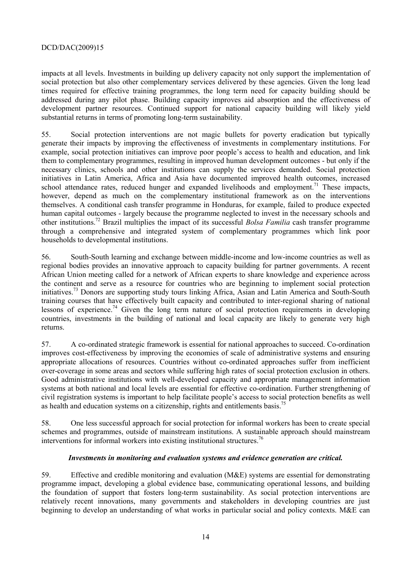impacts at all levels. Investments in building up delivery capacity not only support the implementation of social protection but also other complementary services delivered by these agencies. Given the long lead times required for effective training programmes, the long term need for capacity building should be addressed during any pilot phase. Building capacity improves aid absorption and the effectiveness of development partner resources. Continued support for national capacity building will likely yield substantial returns in terms of promoting long-term sustainability.

55. Social protection interventions are not magic bullets for poverty eradication but typically generate their impacts by improving the effectiveness of investments in complementary institutions. For example, social protection initiatives can improve poor people's access to health and education, and link them to complementary programmes, resulting in improved human development outcomes - but only if the necessary clinics, schools and other institutions can supply the services demanded. Social protection initiatives in Latin America, Africa and Asia have documented improved health outcomes, increased school attendance rates, reduced hunger and expanded livelihoods and employment.<sup>71</sup> These impacts, however, depend as much on the complementary institutional framework as on the interventions themselves. A conditional cash transfer programme in Honduras, for example, failed to produce expected human capital outcomes - largely because the programme neglected to invest in the necessary schools and other institutions.72 Brazil multiplies the impact of its successful *Bolsa Familia* cash transfer programme through a comprehensive and integrated system of complementary programmes which link poor households to developmental institutions.

56. South-South learning and exchange between middle-income and low-income countries as well as regional bodies provides an innovative approach to capacity building for partner governments. A recent African Union meeting called for a network of African experts to share knowledge and experience across the continent and serve as a resource for countries who are beginning to implement social protection initiatives.73 Donors are supporting study tours linking Africa, Asian and Latin America and South-South training courses that have effectively built capacity and contributed to inter-regional sharing of national lessons of experience.<sup>74</sup> Given the long term nature of social protection requirements in developing countries, investments in the building of national and local capacity are likely to generate very high returns.

57. A co-ordinated strategic framework is essential for national approaches to succeed. Co-ordination improves cost-effectiveness by improving the economies of scale of administrative systems and ensuring appropriate allocations of resources. Countries without co-ordinated approaches suffer from inefficient over-coverage in some areas and sectors while suffering high rates of social protection exclusion in others. Good administrative institutions with well-developed capacity and appropriate management information systems at both national and local levels are essential for effective co-ordination. Further strengthening of civil registration systems is important to help facilitate people's access to social protection benefits as well as health and education systems on a citizenship, rights and entitlements basis.<sup>7</sup>

58. One less successful approach for social protection for informal workers has been to create special schemes and programmes, outside of mainstream institutions. A sustainable approach should mainstream interventions for informal workers into existing institutional structures.<sup>76</sup>

### *Investments in monitoring and evaluation systems and evidence generation are critical.*

59. Effective and credible monitoring and evaluation (M&E) systems are essential for demonstrating programme impact, developing a global evidence base, communicating operational lessons, and building the foundation of support that fosters long-term sustainability. As social protection interventions are relatively recent innovations, many governments and stakeholders in developing countries are just beginning to develop an understanding of what works in particular social and policy contexts. M&E can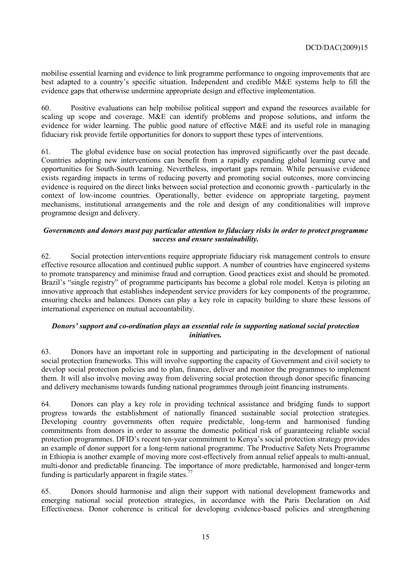mobilise essential learning and evidence to link programme performance to ongoing improvements that are best adapted to a country's specific situation. Independent and credible M&E systems help to fill the evidence gaps that otherwise undermine appropriate design and effective implementation.

60. Positive evaluations can help mobilise political support and expand the resources available for scaling up scope and coverage. M&E can identify problems and propose solutions, and inform the evidence for wider learning. The public good nature of effective M&E and its useful role in managing fiduciary risk provide fertile opportunities for donors to support these types of interventions.

61. The global evidence base on social protection has improved significantly over the past decade. Countries adopting new interventions can benefit from a rapidly expanding global learning curve and opportunities for South-South learning. Nevertheless, important gaps remain. While persuasive evidence exists regarding impacts in terms of reducing poverty and promoting social outcomes, more convincing evidence is required on the direct links between social protection and economic growth - particularly in the context of low-income countries. Operationally, better evidence on appropriate targeting, payment mechanisms, institutional arrangements and the role and design of any conditionalities will improve programme design and delivery.

### *Governments and donors must pay particular attention to fiduciary risks in order to protect programme success and ensure sustainability.*

62. Social protection interventions require appropriate fiduciary risk management controls to ensure effective resource allocation and continued public support. A number of countries have engineered systems to promote transparency and minimise fraud and corruption. Good practices exist and should be promoted. Brazil's "single registry" of programme participants has become a global role model. Kenya is piloting an innovative approach that establishes independent service providers for key components of the programme, ensuring checks and balances. Donors can play a key role in capacity building to share these lessons of international experience on mutual accountability.

### *Donors' support and co-ordination plays an essential role in supporting national social protection initiatives.*

63. Donors have an important role in supporting and participating in the development of national social protection frameworks. This will involve supporting the capacity of Government and civil society to develop social protection policies and to plan, finance, deliver and monitor the programmes to implement them. It will also involve moving away from delivering social protection through donor specific financing and delivery mechanisms towards funding national programmes through joint financing instruments.

64. Donors can play a key role in providing technical assistance and bridging funds to support progress towards the establishment of nationally financed sustainable social protection strategies. Developing country governments often require predictable, long-term and harmonised funding commitments from donors in order to assume the domestic political risk of guaranteeing reliable social protection programmes. DFID's recent ten-year commitment to Kenya's social protection strategy provides an example of donor support for a long-term national programme. The Productive Safety Nets Programme in Ethiopia is another example of moving more cost-effectively from annual relief appeals to multi-annual, multi-donor and predictable financing. The importance of more predictable, harmonised and longer-term funding is particularly apparent in fragile states.<sup>7</sup>

65. Donors should harmonise and align their support with national development frameworks and emerging national social protection strategies, in accordance with the Paris Declaration on Aid Effectiveness. Donor coherence is critical for developing evidence-based policies and strengthening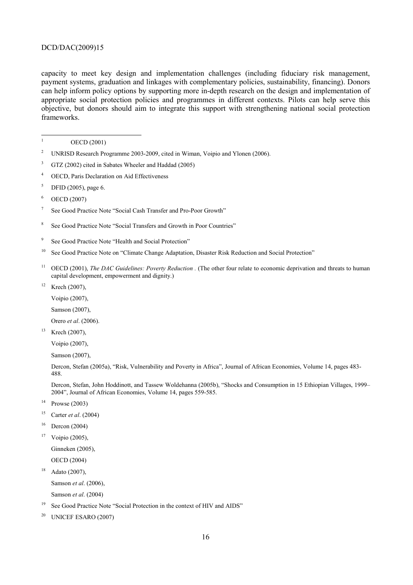capacity to meet key design and implementation challenges (including fiduciary risk management, payment systems, graduation and linkages with complementary policies, sustainability, financing). Donors can help inform policy options by supporting more in-depth research on the design and implementation of appropriate social protection policies and programmes in different contexts. Pilots can help serve this objective, but donors should aim to integrate this support with strengthening national social protection frameworks.

 $\frac{1}{1}$ OECD (2001)

- 2 UNRISD Research Programme 2003-2009, cited in Wiman, Voipio and Ylonen (2006).
- 3 GTZ (2002) cited in Sabates Wheeler and Haddad (2005)
- 4 OECD, Paris Declaration on Aid Effectiveness
- 5 DFID (2005), page 6.
- 6 OECD (2007)
- 7 See Good Practice Note "Social Cash Transfer and Pro-Poor Growth"
- 8 See Good Practice Note "Social Transfers and Growth in Poor Countries"
- 9 See Good Practice Note "Health and Social Protection"
- <sup>10</sup> See Good Practice Note on "Climate Change Adaptation, Disaster Risk Reduction and Social Protection"
- <sup>11</sup> OECD (2001), *The DAC Guidelines: Poverty Reduction* . (The other four relate to economic deprivation and threats to human capital development, empowerment and dignity.)
- $12$  Krech (2007),
	- Voipio (2007),
	- Samson (2007),
	- Orero *et al*. (2006).
- $13$  Krech (2007),
	- Voipio (2007),
	- Samson (2007),
	- Dercon, Stefan (2005a), "Risk, Vulnerability and Poverty in Africa", Journal of African Economies, Volume 14, pages 483- 488.

Dercon, Stefan, John Hoddinott, and Tassew Woldehanna (2005b), "Shocks and Consumption in 15 Ethiopian Villages, 1999– 2004", Journal of African Economies, Volume 14, pages 559-585.

- $14$  Prowse (2003)
- 15 Carter *et al*. (2004)
- $16$  Dercon (2004)
- $17$  Voipio (2005),
	- Ginneken (2005),
	- OECD (2004)
- $18$  Adato (2007),

Samson *et al*. (2006),

Samson *et al*. (2004)

- <sup>19</sup> See Good Practice Note "Social Protection in the context of HIV and AIDS"
- $20$  UNICEF ESARO (2007)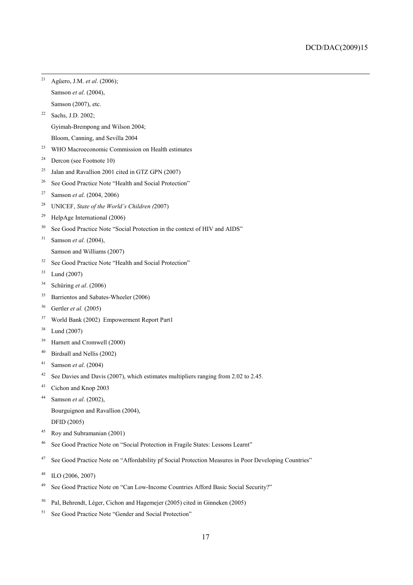- 21 Agűero, J.M. *et al*. (2006); Samson *et al*. (2004), Samson (2007), etc.
- 22 Sachs, J.D. 2002;

Gyimah-Brempong and Wilson 2004;

- Bloom, Canning, and Sevilla 2004
- <sup>23</sup> WHO Macroeconomic Commission on Health estimates
- <sup>24</sup> Dercon (see Footnote 10)
- <sup>25</sup> Jalan and Ravallion 2001 cited in GTZ GPN (2007)
- <sup>26</sup> See Good Practice Note "Health and Social Protection"
- 27 Samson *et al*. (2004, 2006)
- 28 UNICEF, *State of the World's Children (*2007)
- 29 HelpAge International (2006)
- <sup>30</sup> See Good Practice Note "Social Protection in the context of HIV and AIDS"
- 31 Samson *et al*. (2004),
	- Samson and Williams (2007)
- <sup>32</sup> See Good Practice Note "Health and Social Protection"
- 33 Lund (2007)
- 34 Schüring *et al*. (2006)
- 35 Barrientos and Sabates-Wheeler (2006)
- 36 Gertler *et al.* (2005)
- 37 World Bank (2002) Empowerment Report Part1
- 38 Lund (2007)
- 39 Harnett and Cromwell (2000)
- 40 Birdsall and Nellis (2002)
- 41 Samson *et al*. (2004)
- <sup>42</sup> See Davies and Davis (2007), which estimates multipliers ranging from 2.02 to 2.45.
- 43 Cichon and Knop 2003
- 44 Samson *et al*. (2002),

Bourguignon and Ravallion (2004),

- DFID (2005)
- 45 Roy and Subramanian (2001)
- 46 See Good Practice Note on "Social Protection in Fragile States: Lessons Learnt"
- <sup>47</sup> See Good Practice Note on "Affordability pf Social Protection Measures in Poor Developing Countries"
- 48 ILO (2006, 2007)
- 49 See Good Practice Note on "Can Low-Income Countries Afford Basic Social Security?"
- 50 Pal, Behrendt, Léger, Cichon and Hagemejer (2005) cited in Ginneken (2005)
- <sup>51</sup> See Good Practice Note "Gender and Social Protection"